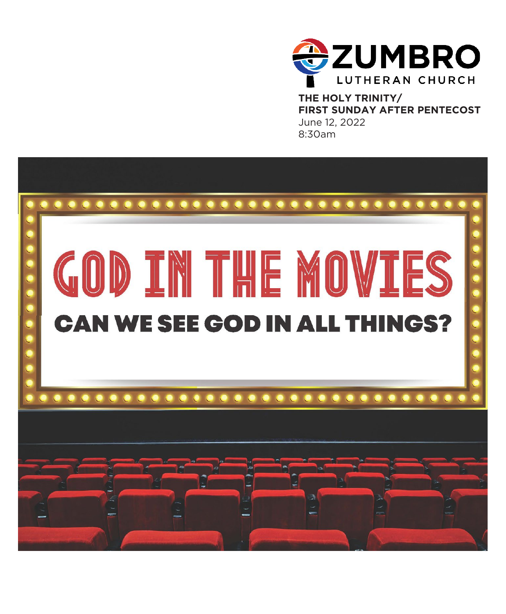

**THE HOLY TRINITY/ FIRST SUNDAY AFTER PENTECOST** June 12, 2022 8:30am

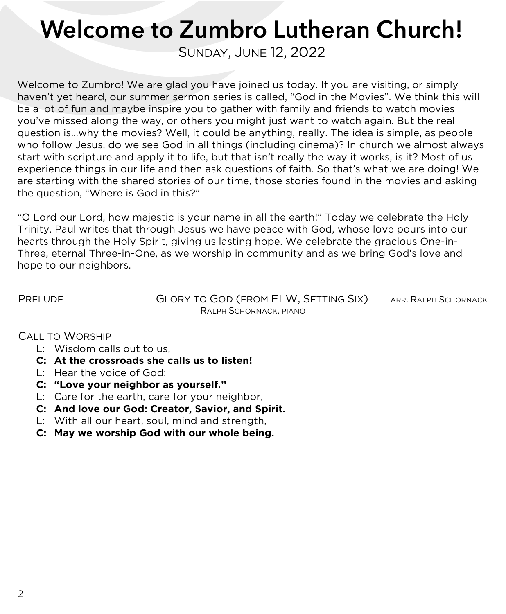# Welcome to Zumbro Lutheran Church!

SUNDAY, JUNE 12, 2022

Welcome to Zumbro! We are glad you have joined us today. If you are visiting, or simply haven't yet heard, our summer sermon series is called, "God in the Movies". We think this will be a lot of fun and maybe inspire you to gather with family and friends to watch movies you've missed along the way, or others you might just want to watch again. But the real question is…why the movies? Well, it could be anything, really. The idea is simple, as people who follow Jesus, do we see God in all things (including cinema)? In church we almost always start with scripture and apply it to life, but that isn't really the way it works, is it? Most of us experience things in our life and then ask questions of faith. So that's what we are doing! We are starting with the shared stories of our time, those stories found in the movies and asking the question, "Where is God in this?"

"O Lord our Lord, how majestic is your name in all the earth!" Today we celebrate the Holy Trinity. Paul writes that through Jesus we have peace with God, whose love pours into our hearts through the Holy Spirit, giving us lasting hope. We celebrate the gracious One-in-Three, eternal Three-in-One, as we worship in community and as we bring God's love and hope to our neighbors.

PRELUDE **GLORY TO GOD (FROM ELW, SETTING SIX)** ARR. RALPH SCHORNACK RALPH SCHORNACK, PIANO

CALL TO WORSHIP

- L: Wisdom calls out to us,
- **C: At the crossroads she calls us to listen!**
- L: Hear the voice of God:
- **C: "Love your neighbor as yourself."**
- L: Care for the earth, care for your neighbor,
- **C: And love our God: Creator, Savior, and Spirit.**
- L: With all our heart, soul, mind and strength,
- **C: May we worship God with our whole being.**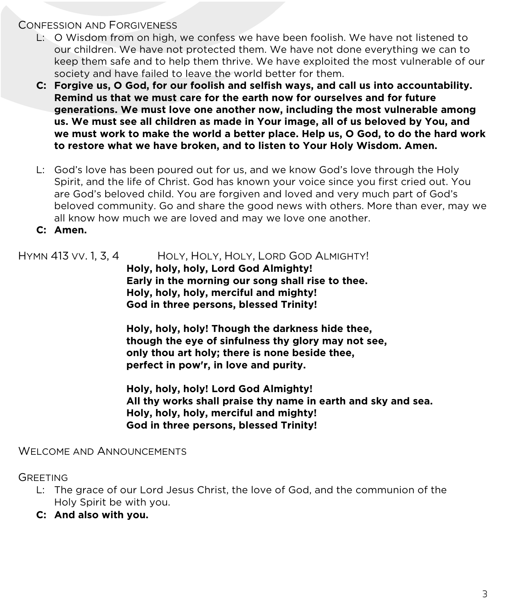### CONFESSION AND FORGIVENESS

- L: O Wisdom from on high, we confess we have been foolish. We have not listened to our children. We have not protected them. We have not done everything we can to keep them safe and to help them thrive. We have exploited the most vulnerable of our society and have failed to leave the world better for them.
- **C: Forgive us, O God, for our foolish and selfish ways, and call us into accountability. Remind us that we must care for the earth now for ourselves and for future generations. We must love one another now, including the most vulnerable among us. We must see all children as made in Your image, all of us beloved by You, and we must work to make the world a better place. Help us, O God, to do the hard work to restore what we have broken, and to listen to Your Holy Wisdom. Amen.**
- L: God's love has been poured out for us, and we know God's love through the Holy Spirit, and the life of Christ. God has known your voice since you first cried out. You are God's beloved child. You are forgiven and loved and very much part of God's beloved community. Go and share the good news with others. More than ever, may we all know how much we are loved and may we love one another.
- **C: Amen.**

# HYMN 413 VV. 1, 3, 4 HOLY, HOLY, HOLY, LORD GOD ALMIGHTY!

**Holy, holy, holy, Lord God Almighty! Early in the morning our song shall rise to thee. Holy, holy, holy, merciful and mighty! God in three persons, blessed Trinity!**

**Holy, holy, holy! Though the darkness hide thee, though the eye of sinfulness thy glory may not see, only thou art holy; there is none beside thee, perfect in pow'r, in love and purity.**

**Holy, holy, holy! Lord God Almighty! All thy works shall praise thy name in earth and sky and sea. Holy, holy, holy, merciful and mighty! God in three persons, blessed Trinity!**

## WELCOME AND ANNOUNCEMENTS

GREETING

- L: The grace of our Lord Jesus Christ, the love of God, and the communion of the Holy Spirit be with you.
- **C: And also with you.**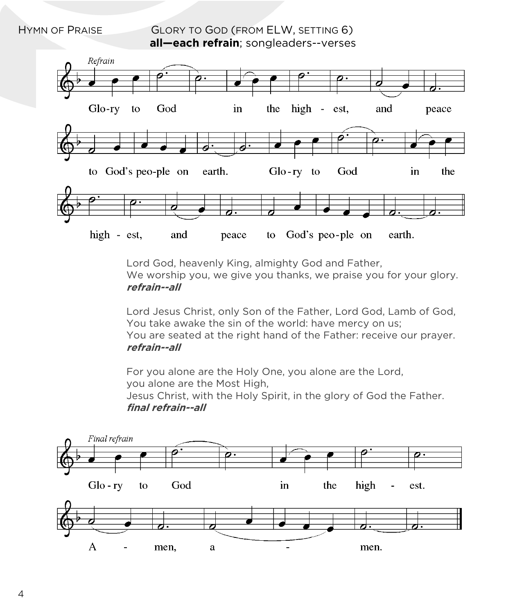HYMN OF PRAISE **GLORY TO GOD (FROM ELW, SETTING 6) all—each refrain**; songleaders--verses



Lord God, heavenly King, almighty God and Father, We worship you, we give you thanks, we praise you for your glory. **refrain--all**

Lord Jesus Christ, only Son of the Father, Lord God, Lamb of God, You take awake the sin of the world: have mercy on us; You are seated at the right hand of the Father: receive our prayer. **refrain--all**

For you alone are the Holy One, you alone are the Lord, you alone are the Most High,

Jesus Christ, with the Holy Spirit, in the glory of God the Father. **final refrain--all** 

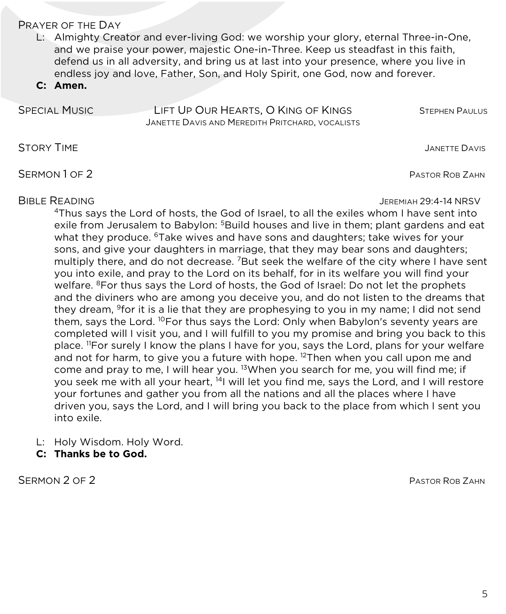#### PRAYER OF THE DAY

L: Almighty Creator and ever-living God: we worship your glory, eternal Three-in-One, and we praise your power, majestic One-in-Three. Keep us steadfast in this faith, defend us in all adversity, and bring us at last into your presence, where you live in endless joy and love, Father, Son, and Holy Spirit, one God, now and forever.

**C: Amen.**

| <b>SPECIAL MUSIC</b> | LIFT UP OUR HEARTS, O KING OF KINGS             | <b>STEPHEN PAULUS</b> |
|----------------------|-------------------------------------------------|-----------------------|
|                      | JANETTE DAVIS AND MEREDITH PRITCHARD, VOCALISTS |                       |

STORY TIME **STORY TIME** 

SERMON 1 OF 2

### BIBLE READING JEREMIAH 29:4-14 NRSV

4Thus says the Lord of hosts, the God of Israel, to all the exiles whom I have sent into exile from Jerusalem to Babylon: <sup>5</sup>Build houses and live in them; plant gardens and eat what they produce. <sup>6</sup>Take wives and have sons and daughters; take wives for your sons, and give your daughters in marriage, that they may bear sons and daughters; multiply there, and do not decrease. <sup>7</sup>But seek the welfare of the city where I have sent you into exile, and pray to the Lord on its behalf, for in its welfare you will find your welfare. <sup>8</sup>For thus says the Lord of hosts, the God of Israel: Do not let the prophets and the diviners who are among you deceive you, and do not listen to the dreams that they dream, <sup>9</sup>for it is a lie that they are prophesying to you in my name; I did not send them, says the Lord. <sup>10</sup>For thus says the Lord: Only when Babylon's seventy years are completed will I visit you, and I will fulfill to you my promise and bring you back to this place. <sup>11</sup>For surely I know the plans I have for you, says the Lord, plans for your welfare and not for harm, to give you a future with hope.  $12$ Then when you call upon me and come and pray to me, I will hear you. <sup>13</sup>When you search for me, you will find me; if you seek me with all your heart, <sup>14</sup>I will let you find me, says the Lord, and I will restore your fortunes and gather you from all the nations and all the places where I have driven you, says the Lord, and I will bring you back to the place from which I sent you into exile.

- L: Holy Wisdom. Holy Word.
- **C: Thanks be to God.**

SERMON 2 OF 2 PASTOR ROB ZAHN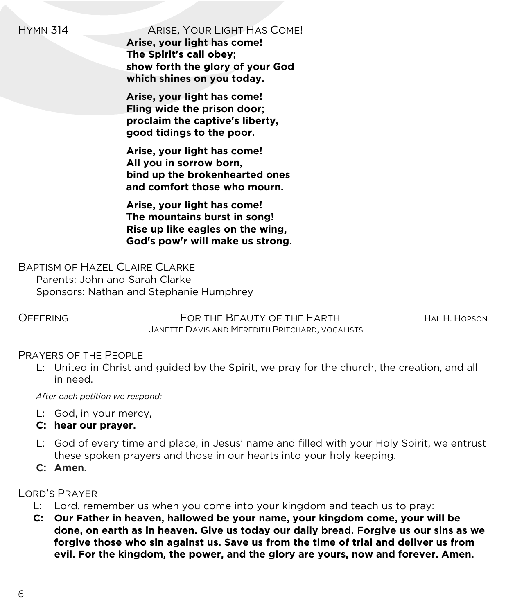HYMN 314 ARISE, YOUR LIGHT HAS COME!

**Arise, your light has come! The Spirit's call obey; show forth the glory of your God which shines on you today.**

**Arise, your light has come! Fling wide the prison door; proclaim the captive's liberty, good tidings to the poor.**

**Arise, your light has come! All you in sorrow born, bind up the brokenhearted ones and comfort those who mourn.**

**Arise, your light has come! The mountains burst in song! Rise up like eagles on the wing, God's pow'r will make us strong.**

BAPTISM OF HAZEL CLAIRE CLARKE Parents: John and Sarah Clarke Sponsors: Nathan and Stephanie Humphrey

OFFERING FOR THE BEAUTY OF THE EARTH HALL HOPSON JANETTE DAVIS AND MEREDITH PRITCHARD, VOCALISTS

#### PRAYERS OF THE PEOPLE

L: United in Christ and guided by the Spirit, we pray for the church, the creation, and all in need.

*After each petition we respond:*

- L: God, in your mercy,
- **C: hear our prayer.**
- L: God of every time and place, in Jesus' name and filled with your Holy Spirit, we entrust these spoken prayers and those in our hearts into your holy keeping.
- **C: Amen.**

LORD'S PRAYER

- L: Lord, remember us when you come into your kingdom and teach us to pray:
- **C: Our Father in heaven, hallowed be your name, your kingdom come, your will be done, on earth as in heaven. Give us today our daily bread. Forgive us our sins as we forgive those who sin against us. Save us from the time of trial and deliver us from evil. For the kingdom, the power, and the glory are yours, now and forever. Amen.**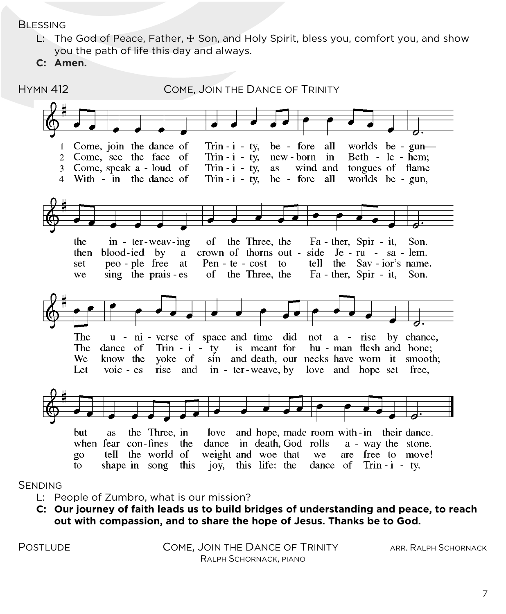**BLESSING** 

- L: The God of Peace, Father, ∆ Son, and Holy Spirit, bless you, comfort you, and show you the path of life this day and always.
- **C: Amen.**



#### SENDING

- L: People of Zumbro, what is our mission?
- **C: Our journey of faith leads us to build bridges of understanding and peace, to reach out with compassion, and to share the hope of Jesus. Thanks be to God.**

POSTLUDE COME, JOIN THE DANCE OF TRINITY ARR. RALPH SCHORNACK RALPH SCHORNACK, PIANO

7